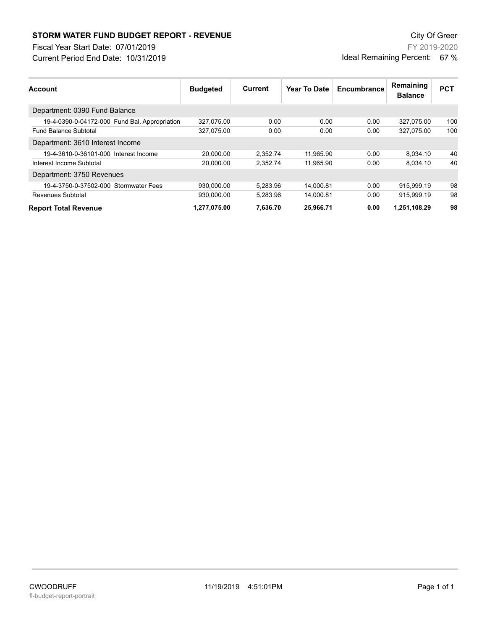## **STORM WATER FUND BUDGET REPORT - REVENUE City Of Green** City Of Green

Fiscal Year Start Date: 07/01/2019

Current Period End Date: 10/31/2019

FY 2019-2020 Ideal Remaining Percent: 67 %

| <b>Account</b>                                | <b>Budgeted</b> | Current  | <b>Year To Date</b> | Encumbrance | Remaining<br><b>Balance</b> | <b>PCT</b> |
|-----------------------------------------------|-----------------|----------|---------------------|-------------|-----------------------------|------------|
| Department: 0390 Fund Balance                 |                 |          |                     |             |                             |            |
| 19-4-0390-0-04172-000 Fund Bal. Appropriation | 327,075.00      | 0.00     | 0.00                | 0.00        | 327.075.00                  | 100        |
| <b>Fund Balance Subtotal</b>                  | 327.075.00      | 0.00     | 0.00                | 0.00        | 327.075.00                  | 100        |
| Department: 3610 Interest Income              |                 |          |                     |             |                             |            |
| 19-4-3610-0-36101-000 Interest Income         | 20.000.00       | 2.352.74 | 11.965.90           | 0.00        | 8.034.10                    | 40         |
| Interest Income Subtotal                      | 20.000.00       | 2.352.74 | 11,965.90           | 0.00        | 8.034.10                    | 40         |
| Department: 3750 Revenues                     |                 |          |                     |             |                             |            |
| 19-4-3750-0-37502-000 Stormwater Fees         | 930.000.00      | 5.283.96 | 14.000.81           | 0.00        | 915.999.19                  | 98         |
| <b>Revenues Subtotal</b>                      | 930.000.00      | 5.283.96 | 14,000.81           | 0.00        | 915.999.19                  | 98         |
| <b>Report Total Revenue</b>                   | 1,277,075.00    | 7,636.70 | 25,966.71           | 0.00        | 1,251,108.29                | 98         |